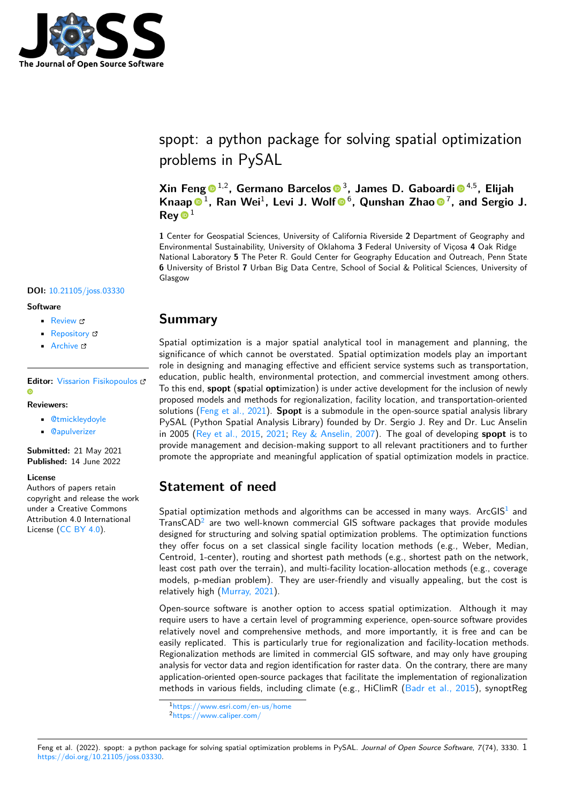

# spopt: a python package for solving spatial optimization problems in PySAL

**Xin Feng** 1,2**, Germano Barcelos** <sup>3</sup> **, James D. Gaboardi** 4,5**, Elijah** Knaap <sup>● 1</sup>, Ran Wei<sup>1</sup>, Levi J. Wolf <sup>● 6</sup>, Qunshan Zhao <sup>● 7</sup>, and Sergio J.  $\mathsf{Rev}\,\mathbf{O}^1$ 

**1** Center for Geospatial Sciences, University of California Riverside **2** Department of Geography and Environmental Sustainability, University of Oklahoma **3** Federal University of Viçosa **4** Oak Ridge National Laboratory **5** The Peter R. Gould Center for Geography Education and Outreach, Penn State **6** University of Bristol **7** Urban Big Data Centre, School of Social & Political Sciences, University of Glasgow

### **DOI:** [10.21105/joss.03330](https://doi.org/10.21105/joss.03330)

#### **Software**

- [Review](https://github.com/openjournals/joss-reviews/issues/3330) C
- [Repository](https://github.com/pysal/spopt) C
- [Archive](https://doi.org/10.5281/zenodo.6638721) C

### **Editor:** [Vissarion Fisikopoulos](https://vissarion.github.io) **G**

#### **Reviewers:**

- [@tmickleydoyle](https://github.com/tmickleydoyle)
- [@apulverizer](https://github.com/apulverizer)

**Submitted:** 21 May 2021 **Published:** 14 June 2022

#### **License**

Authors of papers retain copyright and release the work under a Creative Commons Attribution 4.0 International License [\(CC BY 4.0\)](https://creativecommons.org/licenses/by/4.0/).

### **Summary**

Spatial optimization is a major spatial analytical tool in management and planning, the significance of which cannot be overstated. Spatial optimization models play an important role in designing and managing effective and efficient service systems such as transportation, education, public health, environmental protection, and commercial investment among others. To this end, **spopt** (**sp**atial **opt**imization) is under active development for the inclusion of newly proposed models and methods for regionalization, facility location, and transportation-oriented solutions [\(Feng et al., 2021\)](#page-4-0). **Spopt** is a submodule in the open-source spatial analysis library PySAL (Python Spatial Analysis Library) founded by Dr. Sergio J. Rey and Dr. Luc Anselin in 2005 [\(Rey et al., 2015,](#page-6-0) [2021;](#page-5-0) [Rey & Anselin, 2007\)](#page-5-1). The goal of developing **spopt** is to provide management and decision-making support to all relevant practitioners and to further promote the appropriate and meaningful application of spatial optimization models in practice.

### **Statement of need**

Spatial optimization methods and algorithms can be accessed in many ways. ArcGIS<sup>[1](#page-0-0)</sup> and TransCAD<sup>[2](#page-0-1)</sup> are two well-known commercial GIS software packages that provide modules designed for structuring and solving spatial optimization problems. The optimization functions they offer focus on a set classical single facility location methods (e.g., Weber, Median, Centroid, 1-center), routing and shortest path methods (e.g., shortest path on the network, least cost path over the terrain), and multi-facility location-allocation methods (e.g., coverage models, p-median problem). They are user-friendly and visually appealing, but the cost is relatively high [\(Murray, 2021\)](#page-5-2).

Open-source software is another option to access spatial optimization. Although it may require users to have a certain level of programming experience, open-source software provides relatively novel and comprehensive methods, and more importantly, it is free and can be easily replicated. This is particularly true for regionalization and facility-location methods. Regionalization methods are limited in commercial GIS software, and may only have grouping analysis for vector data and region identification for raster data. On the contrary, there are many application-oriented open-source packages that facilitate the implementation of regionalization methods in various fields, including climate (e.g., HiClimR [\(Badr et al., 2015\)](#page-4-1), synoptReg

<span id="page-0-0"></span><sup>1</sup><https://www.esri.com/en-us/home>

<span id="page-0-1"></span><sup>2</sup><https://www.caliper.com/>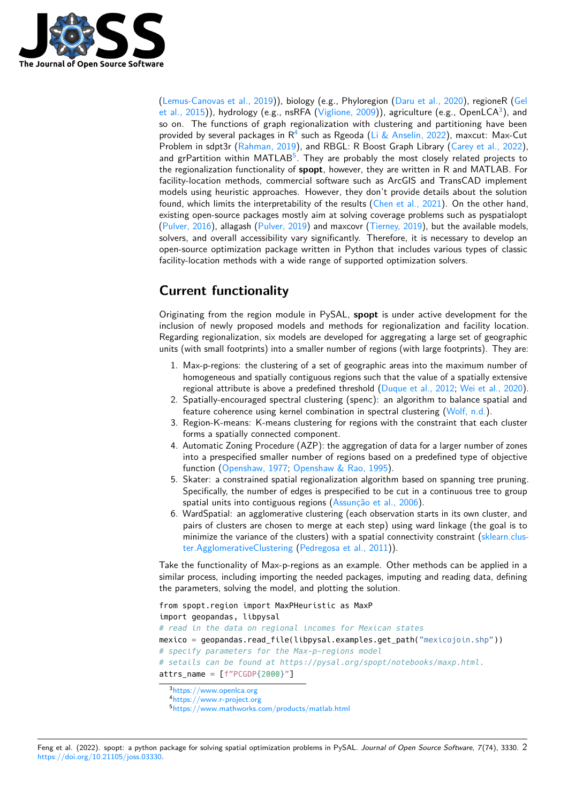

[\(Lemus-Canovas et al., 2019\)](#page-5-3)), biology (e.g., Phyloregion [\(Daru et al., 2020\)](#page-4-2), regioneR [\(Gel](#page-5-4) [et al., 2015\)](#page-5-4)), hydrology (e.g., nsRFA [\(Viglione, 2009\)](#page-6-1)), agriculture (e.g., OpenLCA $^3$  $^3$ ), and so on. The functions of graph regionalization with clustering and partitioning have been provided by several packages in  $R^4$  such as [R](#page-1-1)geoda [\(Li & Anselin, 2022\)](#page-5-5), maxcut: Max-Cut Problem in sdpt3r [\(Rahman, 2019\)](#page-5-6), and RBGL: R Boost Graph Library [\(Carey et al., 2022\)](#page-4-3), and grPartition within MATLAB $5$ . They are probably the most closely related projects to the regionalization functionality of **spopt**, however, they are written in R and MATLAB. For facility-location methods, commercial software such as ArcGIS and TransCAD implement models using heuristic approaches. However, they don't provide details about the solution found, which limits the interpretability of the results [\(Chen et al., 2021\)](#page-4-4). On the other hand, existing open-source packages mostly aim at solving coverage problems such as pyspatialopt [\(Pulver, 2016\)](#page-5-7), allagash [\(Pulver, 2019\)](#page-5-8) and maxcovr [\(Tierney, 2019\)](#page-6-2), but the available models, solvers, and overall accessibility vary significantly. Therefore, it is necessary to develop an open-source optimization package written in Python that includes various types of classic facility-location methods with a wide range of supported optimization solvers.

# **Current functionality**

Originating from the region module in PySAL, **spopt** is under active development for the inclusion of newly proposed models and methods for regionalization and facility location. Regarding regionalization, six models are developed for aggregating a large set of geographic units (with small footprints) into a smaller number of regions (with large footprints). They are:

- 1. Max-p-regions: the clustering of a set of geographic areas into the maximum number of homogeneous and spatially contiguous regions such that the value of a spatially extensive regional attribute is above a predefined threshold [\(Duque et al., 2012;](#page-4-5) [Wei et al., 2020\)](#page-6-3).
- 2. Spatially-encouraged spectral clustering (spenc): an algorithm to balance spatial and feature coherence using kernel combination in spectral clustering [\(Wolf, n.d.\)](#page-6-4).
- 3. Region-K-means: K-means clustering for regions with the constraint that each cluster forms a spatially connected component.
- 4. Automatic Zoning Procedure (AZP): the aggregation of data for a larger number of zones into a prespecified smaller number of regions based on a predefined type of objective function [\(Openshaw, 1977;](#page-5-9) [Openshaw & Rao, 1995\)](#page-5-10).
- 5. Skater: a constrained spatial regionalization algorithm based on spanning tree pruning. Specifically, the number of edges is prespecified to be cut in a continuous tree to group spatial units into contiguous regions [\(Assunção et al., 2006\)](#page-4-6).
- 6. WardSpatial: an agglomerative clustering (each observation starts in its own cluster, and pairs of clusters are chosen to merge at each step) using ward linkage (the goal is to minimize the variance of the clusters) with a spatial connectivity constraint [\(sklearn.clus](https://scikit-learn.org/stable/modules/generated/sklearn.cluster.AgglomerativeClustering.html)[ter.AgglomerativeClustering](https://scikit-learn.org/stable/modules/generated/sklearn.cluster.AgglomerativeClustering.html) [\(Pedregosa et al., 2011\)](#page-5-11)).

Take the functionality of Max-p-regions as an example. Other methods can be applied in a similar process, including importing the needed packages, imputing and reading data, defining the parameters, solving the model, and plotting the solution.

```
from spopt.region import MaxPHeuristic as MaxP
import geopandas, libpysal
# read in the data on regional incomes for Mexican states
mexico = qeopandas.read file(libpysal.examples.get path("mexicojoin.shp"))
# specify parameters for the Max-p-regions model
# setails can be found at https://pysal.org/spopt/notebooks/maxp.html.
attrs name = [f"PCGDP{2000}"]
```

```
3https://www.openlca.org
```

```
4https://www.r-project.org
```

```
5https://www.mathworks.com/products/matlab.html
```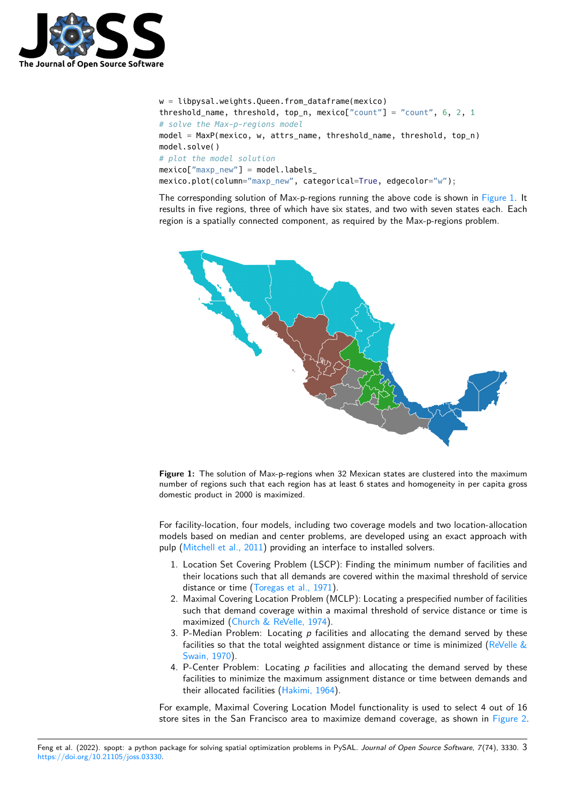

```
w = libpysal.weights.Queen.from dataframe(mexico)
threshold_name, threshold, top_n, mexico["count"] = "count", 6, 2, 1
# solve the Max-p-regions model
model = MaxP(mexico, w, attrs_name, threshold_name, threshold, top_n)
model.solve()
# plot the model solution
maxico["maxp_new"] = model.\nlabel{eq:maxp_new}mexico.plot(column="maxp_new", categorical=True, edgecolor="w");
```
The corresponding solution of Max-p-regions running the above code is shown in [Figure 1.](#page-2-0) It results in five regions, three of which have six states, and two with seven states each. Each region is a spatially connected component, as required by the Max-p-regions problem.

<span id="page-2-0"></span>

**Figure 1:** The solution of Max-p-regions when 32 Mexican states are clustered into the maximum number of regions such that each region has at least 6 states and homogeneity in per capita gross domestic product in 2000 is maximized.

For facility-location, four models, including two coverage models and two location-allocation models based on median and center problems, are developed using an exact approach with pulp [\(Mitchell et al., 2011\)](#page-5-12) providing an interface to installed solvers.

- 1. Location Set Covering Problem (LSCP): Finding the minimum number of facilities and their locations such that all demands are covered within the maximal threshold of service distance or time [\(Toregas et al., 1971\)](#page-6-5).
- 2. Maximal Covering Location Problem (MCLP): Locating a prespecified number of facilities such that demand coverage within a maximal threshold of service distance or time is maximized [\(Church & ReVelle, 1974\)](#page-4-7).
- 3. P-Median Problem: Locating  $p$  facilities and allocating the demand served by these facilities so that the total weighted assignment distance or time is minimized (ReVelle  $\&$ [Swain, 1970\)](#page-5-13).
- 4. P-Center Problem: Locating  $p$  facilities and allocating the demand served by these facilities to minimize the maximum assignment distance or time between demands and their allocated facilities [\(Hakimi, 1964\)](#page-5-14).

For example, Maximal Covering Location Model functionality is used to select 4 out of 16 store sites in the San Francisco area to maximize demand coverage, as shown in [Figure 2.](#page-3-0)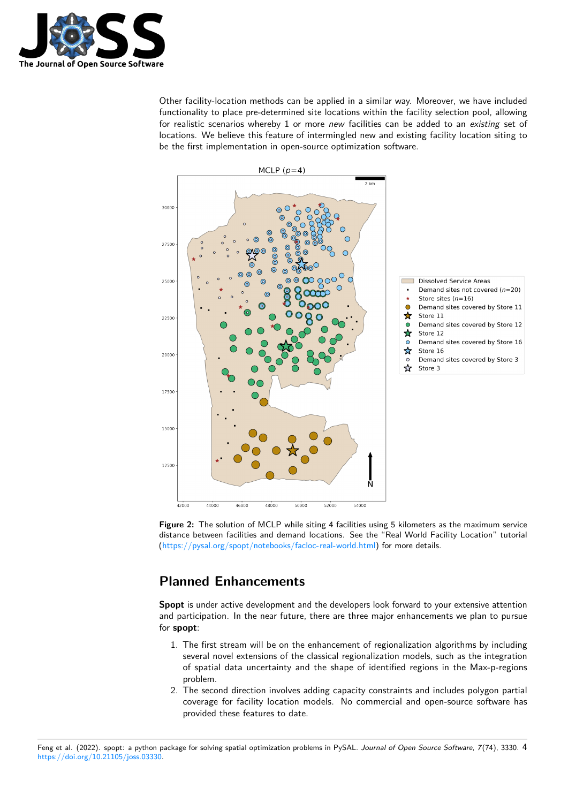

Other facility-location methods can be applied in a similar way. Moreover, we have included functionality to place pre-determined site locations within the facility selection pool, allowing for realistic scenarios whereby 1 or more new facilities can be added to an existing set of locations. We believe this feature of intermingled new and existing facility location siting to be the first implementation in open-source optimization software.

<span id="page-3-0"></span>



## **Planned Enhancements**

**Spopt** is under active development and the developers look forward to your extensive attention and participation. In the near future, there are three major enhancements we plan to pursue for **spopt**:

- 1. The first stream will be on the enhancement of regionalization algorithms by including several novel extensions of the classical regionalization models, such as the integration of spatial data uncertainty and the shape of identified regions in the Max-p-regions problem.
- 2. The second direction involves adding capacity constraints and includes polygon partial coverage for facility location models. No commercial and open-source software has provided these features to date.

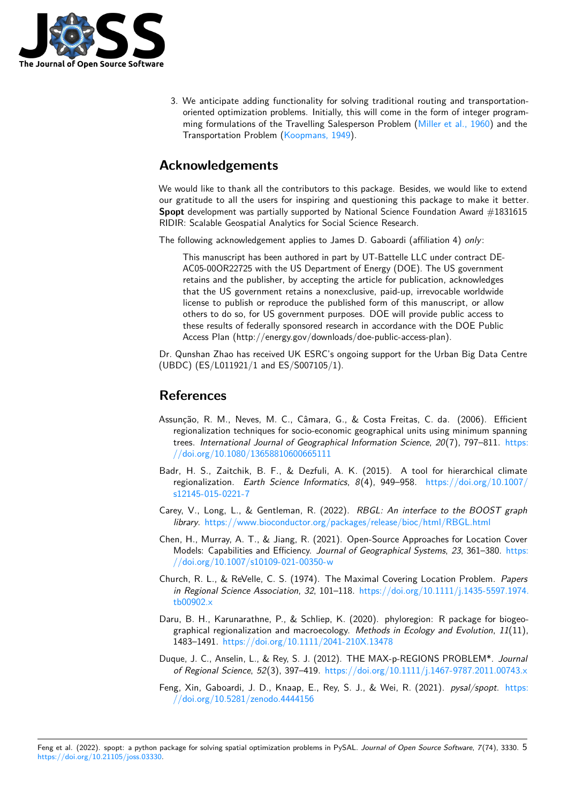

3. We anticipate adding functionality for solving traditional routing and transportationoriented optimization problems. Initially, this will come in the form of integer programming formulations of the Travelling Salesperson Problem [\(Miller et al., 1960\)](#page-5-15) and the Transportation Problem [\(Koopmans, 1949\)](#page-5-16).

# **Acknowledgements**

We would like to thank all the contributors to this package. Besides, we would like to extend our gratitude to all the users for inspiring and questioning this package to make it better. **Spopt** development was partially supported by National Science Foundation Award #1831615 RIDIR: Scalable Geospatial Analytics for Social Science Research.

The following acknowledgement applies to James D. Gaboardi (affiliation 4) only:

This manuscript has been authored in part by UT-Battelle LLC under contract DE-AC05-00OR22725 with the US Department of Energy (DOE). The US government retains and the publisher, by accepting the article for publication, acknowledges that the US government retains a nonexclusive, paid-up, irrevocable worldwide license to publish or reproduce the published form of this manuscript, or allow others to do so, for US government purposes. DOE will provide public access to these results of federally sponsored research in accordance with the DOE Public Access Plan (http://energy.gov/downloads/doe-public-access-plan).

Dr. Qunshan Zhao has received UK ESRC's ongoing support for the Urban Big Data Centre (UBDC) (ES/L011921/1 and ES/S007105/1).

### **References**

- <span id="page-4-6"></span>Assunção, R. M., Neves, M. C., Câmara, G., & Costa Freitas, C. da. (2006). Efficient regionalization techniques for socio-economic geographical units using minimum spanning trees. International Journal of Geographical Information Science, 20(7), 797-811. [https:](https://doi.org/10.1080/13658810600665111) [//doi.org/10.1080/13658810600665111](https://doi.org/10.1080/13658810600665111)
- <span id="page-4-1"></span>Badr, H. S., Zaitchik, B. F., & Dezfuli, A. K. (2015). A tool for hierarchical climate regionalization. Earth Science Informatics, 8(4), 949–958. [https://doi.org/10.1007/](https://doi.org/10.1007/s12145-015-0221-7) [s12145-015-0221-7](https://doi.org/10.1007/s12145-015-0221-7)
- <span id="page-4-3"></span>Carey, V., Long, L., & Gentleman, R. (2022). RBGL: An interface to the BOOST graph library. <https://www.bioconductor.org/packages/release/bioc/html/RBGL.html>
- <span id="page-4-4"></span>Chen, H., Murray, A. T., & Jiang, R. (2021). Open-Source Approaches for Location Cover Models: Capabilities and Efficiency. Journal of Geographical Systems, 23, 361–380. [https:](https://doi.org/10.1007/s10109-021-00350-w) [//doi.org/10.1007/s10109-021-00350-w](https://doi.org/10.1007/s10109-021-00350-w)
- <span id="page-4-7"></span>Church, R. L., & ReVelle, C. S. (1974). The Maximal Covering Location Problem. Papers in Regional Science Association, 32, 101–118. [https://doi.org/10.1111/j.1435-5597.1974.](https://doi.org/10.1111/j.1435-5597.1974.tb00902.x) [tb00902.x](https://doi.org/10.1111/j.1435-5597.1974.tb00902.x)
- <span id="page-4-2"></span>Daru, B. H., Karunarathne, P., & Schliep, K. (2020). phyloregion: R package for biogeographical regionalization and macroecology. Methods in Ecology and Evolution,  $11(11)$ , 1483–1491. <https://doi.org/10.1111/2041-210X.13478>
- <span id="page-4-5"></span>Duque, J. C., Anselin, L., & Rey, S. J. (2012). THE MAX-p-REGIONS PROBLEM\*. Journal of Regional Science, 52(3), 397–419. <https://doi.org/10.1111/j.1467-9787.2011.00743.x>
- <span id="page-4-0"></span>Feng, Xin, Gaboardi, J. D., Knaap, E., Rey, S. J., & Wei, R. (2021). pysal/spopt. [https:](https://doi.org/10.5281/zenodo.4444156) [//doi.org/10.5281/zenodo.4444156](https://doi.org/10.5281/zenodo.4444156)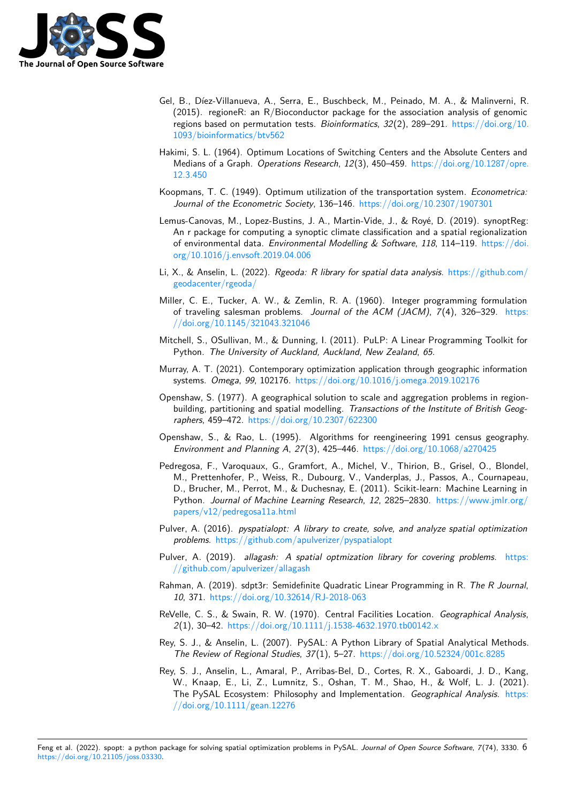

- <span id="page-5-4"></span>Gel, B., Díez-Villanueva, A., Serra, E., Buschbeck, M., Peinado, M. A., & Malinverni, R. (2015). regioneR: an R/Bioconductor package for the association analysis of genomic regions based on permutation tests. Bioinformatics,  $32(2)$ ,  $289-291$ . [https://doi.org/10.](https://doi.org/10.1093/bioinformatics/btv562) [1093/bioinformatics/btv562](https://doi.org/10.1093/bioinformatics/btv562)
- <span id="page-5-14"></span>Hakimi, S. L. (1964). Optimum Locations of Switching Centers and the Absolute Centers and Medians of a Graph. Operations Research, 12(3), 450–459. [https://doi.org/10.1287/opre.](https://doi.org/10.1287/opre.12.3.450) [12.3.450](https://doi.org/10.1287/opre.12.3.450)
- <span id="page-5-16"></span>Koopmans, T. C. (1949). Optimum utilization of the transportation system. Econometrica: Journal of the Econometric Society, 136-146. <https://doi.org/10.2307/1907301>
- <span id="page-5-3"></span>Lemus-Canovas, M., Lopez-Bustins, J. A., Martin-Vide, J., & Royé, D. (2019). synoptReg: An r package for computing a synoptic climate classification and a spatial regionalization of environmental data. Environmental Modelling & Software, 118, 114–119. [https://doi.](https://doi.org/10.1016/j.envsoft.2019.04.006) [org/10.1016/j.envsoft.2019.04.006](https://doi.org/10.1016/j.envsoft.2019.04.006)
- <span id="page-5-5"></span>Li, X., & Anselin, L. (2022). Rgeoda: R library for spatial data analysis. [https://github.com/](https://github.com/geodacenter/rgeoda/) [geodacenter/rgeoda/](https://github.com/geodacenter/rgeoda/)
- <span id="page-5-15"></span>Miller, C. E., Tucker, A. W., & Zemlin, R. A. (1960). Integer programming formulation of traveling salesman problems. Journal of the ACM (JACM), 7(4), 326–329. [https:](https://doi.org/10.1145/321043.321046) [//doi.org/10.1145/321043.321046](https://doi.org/10.1145/321043.321046)
- <span id="page-5-12"></span>Mitchell, S., OSullivan, M., & Dunning, I. (2011). PuLP: A Linear Programming Toolkit for Python. The University of Auckland, Auckland, New Zealand, 65.
- <span id="page-5-2"></span>Murray, A. T. (2021). Contemporary optimization application through geographic information systems. Omega, 99, 102176. <https://doi.org/10.1016/j.omega.2019.102176>
- <span id="page-5-9"></span>Openshaw, S. (1977). A geographical solution to scale and aggregation problems in regionbuilding, partitioning and spatial modelling. Transactions of the Institute of British Geographers, 459–472. <https://doi.org/10.2307/622300>
- <span id="page-5-10"></span>Openshaw, S., & Rao, L. (1995). Algorithms for reengineering 1991 census geography. Environment and Planning A, 27(3), 425–446. <https://doi.org/10.1068/a270425>
- <span id="page-5-11"></span>Pedregosa, F., Varoquaux, G., Gramfort, A., Michel, V., Thirion, B., Grisel, O., Blondel, M., Prettenhofer, P., Weiss, R., Dubourg, V., Vanderplas, J., Passos, A., Cournapeau, D., Brucher, M., Perrot, M., & Duchesnay, E. (2011). Scikit-learn: Machine Learning in Python. Journal of Machine Learning Research, 12, 2825–2830. [https://www.jmlr.org/](https://www.jmlr.org/papers/v12/pedregosa11a.html) [papers/v12/pedregosa11a.html](https://www.jmlr.org/papers/v12/pedregosa11a.html)
- <span id="page-5-7"></span>Pulver, A. (2016). pyspatialopt: A library to create, solve, and analyze spatial optimization problems. <https://github.com/apulverizer/pyspatialopt>
- <span id="page-5-8"></span>Pulver, A. (2019). allagash: A spatial optmization library for covering problems. [https:](https://github.com/apulverizer/allagash) [//github.com/apulverizer/allagash](https://github.com/apulverizer/allagash)
- <span id="page-5-6"></span>Rahman, A. (2019). sdpt3r: Semidefinite Quadratic Linear Programming in R. The R Journal, 10, 371. <https://doi.org/10.32614/RJ-2018-063>
- <span id="page-5-13"></span>ReVelle, C. S., & Swain, R. W. (1970). Central Facilities Location. Geographical Analysis, 2(1), 30–42. <https://doi.org/10.1111/j.1538-4632.1970.tb00142.x>
- <span id="page-5-1"></span>Rey, S. J., & Anselin, L. (2007). PySAL: A Python Library of Spatial Analytical Methods. The Review of Regional Studies, 37(1), 5–27. <https://doi.org/10.52324/001c.8285>
- <span id="page-5-0"></span>Rey, S. J., Anselin, L., Amaral, P., Arribas-Bel, D., Cortes, R. X., Gaboardi, J. D., Kang, W., Knaap, E., Li, Z., Lumnitz, S., Oshan, T. M., Shao, H., & Wolf, L. J. (2021). The PySAL Ecosystem: Philosophy and Implementation. Geographical Analysis. [https:](https://doi.org/10.1111/gean.12276) [//doi.org/10.1111/gean.12276](https://doi.org/10.1111/gean.12276)

Feng et al. (2022). spopt: a python package for solving spatial optimization problems in PySAL. Journal of Open Source Software, 7(74), 3330. 6 [https://doi.org/10.21105/joss.03330.](https://doi.org/10.21105/joss.03330)